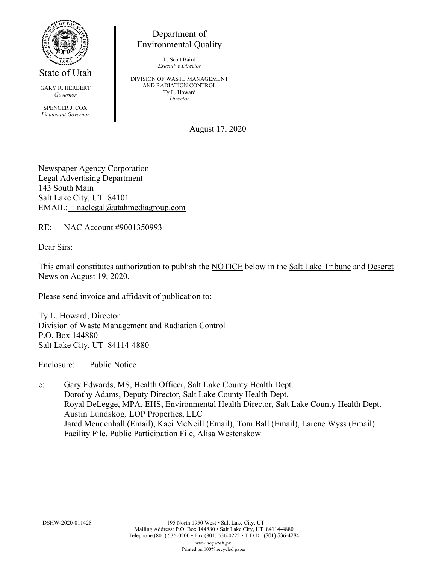

State of Utah

GARY R. HERBERT *Governor*

SPENCER J. COX *Lieutenant Governor*

Department of Environmental Quality

> L. Scott Baird *Executive Director*

DIVISION OF WASTE MANAGEMENT AND RADIATION CONTROL Ty L. Howard *Director*

August 17, 2020

Newspaper Agency Corporation Legal Advertising Department 143 South Main Salt Lake City, UT 84101 EMAIL: naclegal@utahmediagroup.com

RE: NAC Account #9001350993

Dear Sirs:

This email constitutes authorization to publish the NOTICE below in the Salt Lake Tribune and Deseret News on August 19, 2020.

Please send invoice and affidavit of publication to:

Ty L. Howard, Director Division of Waste Management and Radiation Control P.O. Box 144880 Salt Lake City, UT 84114-4880

Enclosure: Public Notice

c: Gary Edwards, MS, Health Officer, Salt Lake County Health Dept. Dorothy Adams, Deputy Director, Salt Lake County Health Dept. Royal DeLegge, MPA, EHS, Environmental Health Director, Salt Lake County Health Dept. Austin Lundskog*,* LOP Properties, LLC Jared Mendenhall (Email), Kaci McNeill (Email), Tom Ball (Email), Larene Wyss (Email) Facility File, Public Participation File, Alisa Westenskow